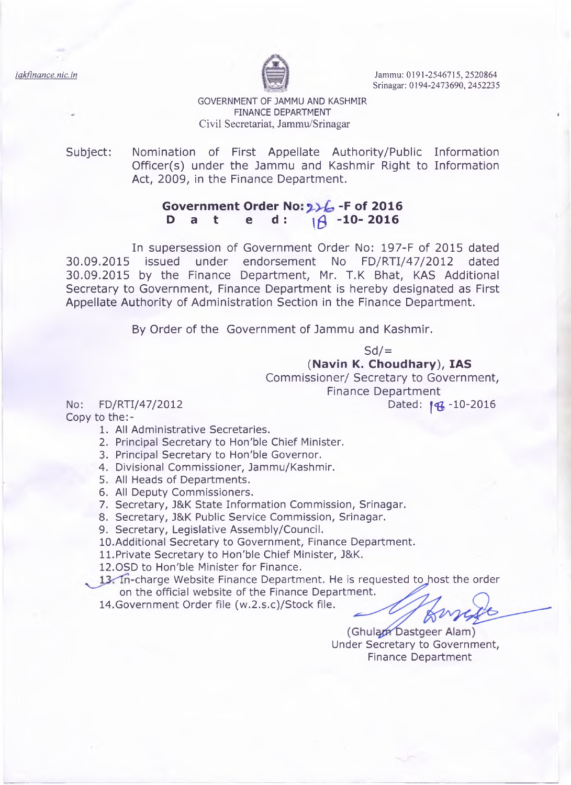

*jakfinance.nic.in* Jammu: 0191-2546715, 2520864 Srinagar: 0194-2473690, 2452235

## GOVERNMENT OF JAMMU AND KASHMIR FINANCE DEPARTMENT Civil Secretariat, Jammu/Srinagar

Subject: Nomination of First Appellate Authority/Public Information Officer(s) under the Jammu and Kashmir Right to Information Act, 2009, in the Finance Department.

## Government Order No: 2) 6 -F of 2016 **D** a t e d:  $\overline{A}$  -10- 2016

In supersession of Government Order No: 197-F of 2015 dated 30.09.2015 issued under endorsement No FD/RTI/47/2012 dated 30.09.2015 by the Finance Department, Mr. T.K Bhat, KAS Additional Secretary to Government, Finance Department is hereby designated as First Appellate Authority of Administration Section in the Finance Department.

By Order of the Government of Jammu and Kashmir.

 $Sd/=$ **(Navin K. Choudhary), IAS** Commissioner/ Secretary to Government, Finance Department No: FD/RTI/47/2012 Dated: 12-10-2016

Copy to the:-

- 1. All Administrative Secretaries.
- 2. Principal Secretary to Hon'ble Chief Minister.
- 3. Principal Secretary to Hon'ble Governor.
- 4. Divisional Commissioner, Jammu/Kashmir.
- 5. All Heads of Departments.
- 6. All Deputy Commissioners.
- 7. Secretary, J&K State Information Commission, Srinagar.
- 8. Secretary, J&K Public Service Commission, Srinagar.
- 9. Secretary, Legislative Assembly/Council.
- 10. Additional Secretary to Government, Finance Department.
- 11. Private Secretary to Hon'ble Chief Minister, J&K.
- 12.OSD to Hon'ble Minister for Finance.

13. In-charge Website Finance Department. He is requested to host the order on the official website of the Finance Department.

14.Government Order file (w.2.s.c)/Stock file.

(Ghularn Dastgeer Alam)

Under Secretary to Government, Finance Department